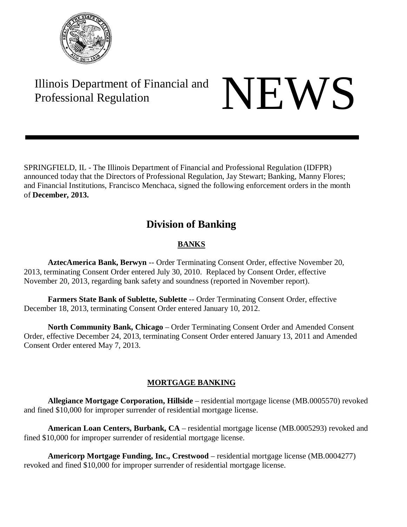

# Illinois Department of Financial and Illinois Department of Financial and<br>Professional Regulation

SPRINGFIELD, IL - The Illinois Department of Financial and Professional Regulation (IDFPR) announced today that the Directors of Professional Regulation, Jay Stewart; Banking, Manny Flores; and Financial Institutions, Francisco Menchaca, signed the following enforcement orders in the month of **December, 2013.**

## **Division of Banking**

## **BANKS**

**AztecAmerica Bank, Berwyn** -- Order Terminating Consent Order, effective November 20, 2013, terminating Consent Order entered July 30, 2010. Replaced by Consent Order, effective November 20, 2013, regarding bank safety and soundness (reported in November report).

**Farmers State Bank of Sublette, Sublette** -- Order Terminating Consent Order, effective December 18, 2013, terminating Consent Order entered January 10, 2012.

**North Community Bank, Chicago** – Order Terminating Consent Order and Amended Consent Order, effective December 24, 2013, terminating Consent Order entered January 13, 2011 and Amended Consent Order entered May 7, 2013.

### **MORTGAGE BANKING**

**Allegiance Mortgage Corporation, Hillside** – residential mortgage license (MB.0005570) revoked and fined \$10,000 for improper surrender of residential mortgage license.

**American Loan Centers, Burbank, CA** – residential mortgage license (MB.0005293) revoked and fined \$10,000 for improper surrender of residential mortgage license.

**Americorp Mortgage Funding, Inc., Crestwood** – residential mortgage license (MB.0004277) revoked and fined \$10,000 for improper surrender of residential mortgage license.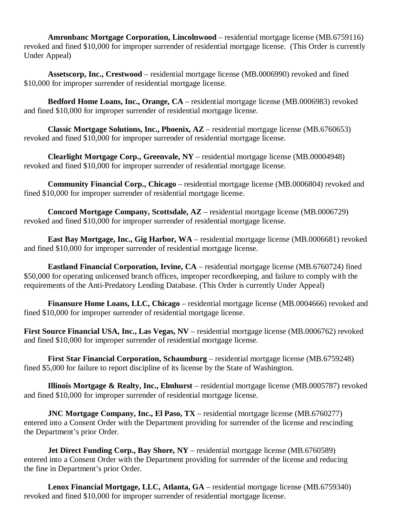**Amronbanc Mortgage Corporation, Lincolnwood** – residential mortgage license (MB.6759116) revoked and fined \$10,000 for improper surrender of residential mortgage license. (This Order is currently Under Appeal)

**Assetscorp, Inc., Crestwood** – residential mortgage license (MB.0006990) revoked and fined \$10,000 for improper surrender of residential mortgage license.

**Bedford Home Loans, Inc., Orange, CA** – residential mortgage license (MB.0006983) revoked and fined \$10,000 for improper surrender of residential mortgage license.

**Classic Mortgage Solutions, Inc., Phoenix, AZ** – residential mortgage license (MB.6760653) revoked and fined \$10,000 for improper surrender of residential mortgage license.

**Clearlight Mortgage Corp., Greenvale, NY** – residential mortgage license (MB.00004948) revoked and fined \$10,000 for improper surrender of residential mortgage license.

**Community Financial Corp., Chicago** – residential mortgage license (MB.0006804) revoked and fined \$10,000 for improper surrender of residential mortgage license.

**Concord Mortgage Company, Scottsdale, AZ** – residential mortgage license (MB.0006729) revoked and fined \$10,000 for improper surrender of residential mortgage license.

**East Bay Mortgage, Inc., Gig Harbor, WA** – residential mortgage license (MB.0006681) revoked and fined \$10,000 for improper surrender of residential mortgage license.

**Eastland Financial Corporation, Irvine, CA** – residential mortgage license (MB.6760724) fined \$50,000 for operating unlicensed branch offices, improper record keeping, and failure to comply with the requirements of the Anti-Predatory Lending Database. (This Order is currently Under Appeal)

Finansure Home Loans, LLC, Chicago – residential mortgage license (MB.0004666) revoked and fined \$10,000 for improper surrender of residential mortgage license.

**First Source Financial USA, Inc., Las Vegas, NV** – residential mortgage license (MB.0006762) revoked and fined \$10,000 for improper surrender of residential mortgage license.

**First Star Financial Corporation, Schaumburg** – residential mortgage license (MB.6759248) fined \$5,000 for failure to report discipline of its license by the State of Washington.

**Illinois Mortgage & Realty, Inc., Elmhurst** – residential mortgage license (MB.0005787) revoked and fined \$10,000 for improper surrender of residential mortgage license.

**JNC Mortgage Company, Inc., El Paso, TX** – residential mortgage license (MB.6760277) entered into a Consent Order with the Department providing for surrender of the license and rescinding the Department's prior Order.

**Jet Direct Funding Corp., Bay Shore, NY** – residential mortgage license (MB.6760589) entered into a Consent Order with the Department providing for surrender of the license and reducing the fine in Department's prior Order.

**Lenox Financial Mortgage, LLC, Atlanta, GA** – residential mortgage license (MB.6759340) revoked and fined \$10,000 for improper surrender of residential mortgage license.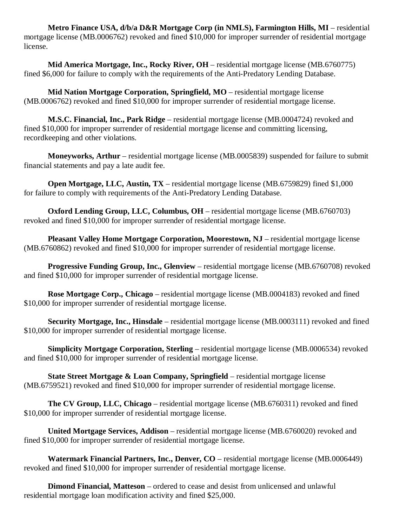**Metro Finance USA, d/b/a D&R Mortgage Corp (in NMLS), Farmington Hills, MI** – residential mortgage license (MB.0006762) revoked and fined \$10,000 for improper surrender of residential mortgage license.

**Mid America Mortgage, Inc., Rocky River, OH** – residential mortgage license (MB.6760775) fined \$6,000 for failure to comply with the requirements of the Anti-Predatory Lending Database.

**Mid Nation Mortgage Corporation, Springfield, MO** – residential mortgage license (MB.0006762) revoked and fined \$10,000 for improper surrender of residential mortgage license.

**M.S.C. Financial, Inc., Park Ridge** – residential mortgage license (MB.0004724) revoked and fined \$10,000 for improper surrender of residential mortgage license and committing licensing, recordkeeping and other violations.

**Moneyworks, Arthur** – residential mortgage license (MB.0005839) suspended for failure to submit financial statements and pay a late audit fee.

**Open Mortgage, LLC, Austin, TX** – residential mortgage license (MB.6759829) fined \$1,000 for failure to comply with requirements of the Anti-Predatory Lending Database.

**Oxford Lending Group, LLC, Columbus, OH** – residential mortgage license (MB.6760703) revoked and fined \$10,000 for improper surrender of residential mortgage license.

**Pleasant Valley Home Mortgage Corporation, Moorestown, NJ** – residential mortgage license (MB.6760862) revoked and fined \$10,000 for improper surrender of residential mortgage license.

**Progressive Funding Group, Inc., Glenview** – residential mortgage license (MB.6760708) revoked and fined \$10,000 for improper surrender of residential mortgage license.

**Rose Mortgage Corp., Chicago** – residential mortgage license (MB.0004183) revoked and fined \$10,000 for improper surrender of residential mortgage license.

**Security Mortgage, Inc., Hinsdale** – residential mortgage license (MB.0003111) revoked and fined \$10,000 for improper surrender of residential mortgage license.

**Simplicity Mortgage Corporation, Sterling** – residential mortgage license (MB.0006534) revoked and fined \$10,000 for improper surrender of residential mortgage license.

**State Street Mortgage & Loan Company, Springfield** – residential mortgage license (MB.6759521) revoked and fined \$10,000 for improper surrender of residential mortgage license.

**The CV Group, LLC, Chicago** – residential mortgage license (MB.6760311) revoked and fined \$10,000 for improper surrender of residential mortgage license.

**United Mortgage Services, Addison** – residential mortgage license (MB.6760020) revoked and fined \$10,000 for improper surrender of residential mortgage license.

**Watermark Financial Partners, Inc., Denver, CO** – residential mortgage license (MB.0006449) revoked and fined \$10,000 for improper surrender of residential mortgage license.

**Dimond Financial, Matteson** – ordered to cease and desist from unlicensed and unlawful residential mortgage loan modification activity and fined \$25,000.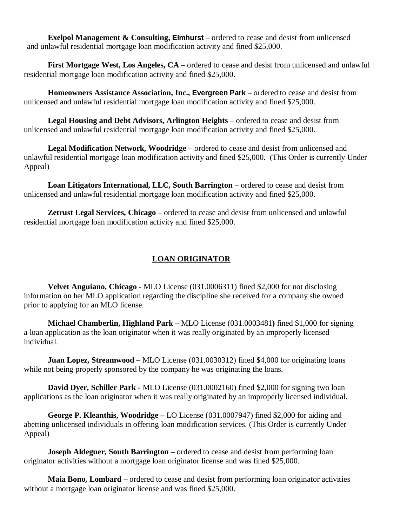**Exelpol Management & Consulting, Elmhurst** – ordered to cease and desist from unlicensed and unlawful residential mortgage loan modification activity and fined \$25,000.

**First Mortgage West, Los Angeles, CA** – ordered to cease and desist from unlicensed and unlawful residential mortgage loan modification activity and fined \$25,000.

**Homeowners Assistance Association, Inc., Evergreen Park** – ordered to cease and desist from unlicensed and unlawful residential mortgage loan modification activity and fined \$25,000.

**Legal Housing and Debt Advisors, Arlington Heights** – ordered to cease and desist from unlicensed and unlawful residential mortgage loan modification activity and fined \$25,000.

**Legal Modification Network, Woodridge** – ordered to cease and desist from unlicensed and unlawful residential mortgage loan modification activity and fined \$25,000. (This Order is currently Under Appeal)

**Loan Litigators International, LLC, South Barrington** – ordered to cease and desist from unlicensed and unlawful residential mortgage loan modification activity and fined \$25,000.

**Zetrust Legal Services, Chicago** – ordered to cease and desist from unlicensed and unlawful residential mortgage loan modification activity and fined \$25,000.

### **LOAN ORIGINATOR**

**Velvet Anguiano, Chicago -** MLO License (031.0006311) fined \$2,000 for not disclosing information on her MLO application regarding the discipline she received for a company she owned prior to applying for an MLO license.

**Michael Chamberlin, Highland Park –** MLO License (031.0003481**)** fined \$1,000 for signing a loan application as the loan originator when it was really originated by an improperly licensed individual.

**Juan Lopez, Streamwood –** MLO License (031.0030312) fined \$4,000 for originating loans while not being properly sponsored by the company he was originating the loans.

**David Dyer, Schiller Park -** MLO License (031.0002160) fined \$2,000 for signing two loan applications as the loan originator when it was really originated by an improperly licensed individual.

**George P. Kleanthis, Woodridge –** LO License (031.0007947) fined \$2,000 for aiding and abetting unlicensed individuals in offering loan modification services. (This Order is currently Under Appeal)

**Joseph Aldeguer, South Barrington** – ordered to cease and desist from performing loan originator activities without a mortgage loan originator license and was fined \$25,000.

**Maia Bono, Lombard –** ordered to cease and desist from performing loan originator activities without a mortgage loan originator license and was fined \$25,000.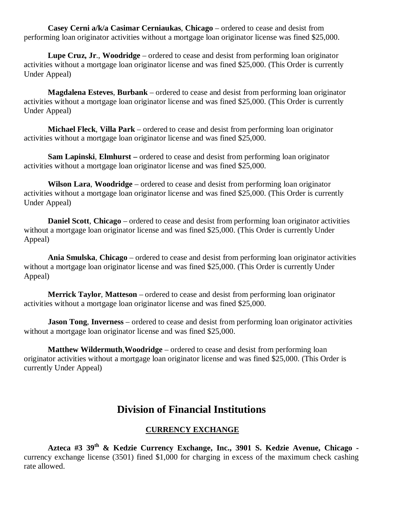**Casey Cerni a/k/a Casimar Cerniaukas**, **Chicago** – ordered to cease and desist from performing loan originator activities without a mortgage loan originator license was fined \$25,000.

**Lupe Cruz, Jr**., **Woodridge** – ordered to cease and desist from performing loan originator activities without a mortgage loan originator license and was fined \$25,000. (This Order is currently Under Appeal)

**Magdalena Esteves**, **Burbank** – ordered to cease and desist from performing loan originator activities without a mortgage loan originator license and was fined \$25,000. (This Order is currently Under Appeal)

**Michael Fleck**, **Villa Park** – ordered to cease and desist from performing loan originator activities without a mortgage loan originator license and was fined \$25,000.

**Sam Lapinski**, **Elmhurst –** ordered to cease and desist from performing loan originator activities without a mortgage loan originator license and was fined \$25,000.

**Wilson Lara**, **Woodridge** – ordered to cease and desist from performing loan originator activities without a mortgage loan originator license and was fined \$25,000. (This Order is currently Under Appeal)

**Daniel Scott**, **Chicago** – ordered to cease and desist from performing loan originator activities without a mortgage loan originator license and was fined \$25,000. (This Order is currently Under Appeal)

**Ania Smulska**, **Chicago** – ordered to cease and desist from performing loan originator activities without a mortgage loan originator license and was fined \$25,000. (This Order is currently Under Appeal)

**Merrick Taylor**, **Matteson** – ordered to cease and desist from performing loan originator activities without a mortgage loan originator license and was fined \$25,000.

**Jason Tong**, **Inverness** – ordered to cease and desist from performing loan originator activities without a mortgage loan originator license and was fined \$25,000.

**Matthew Wildermuth**,**Woodridge** – ordered to cease and desist from performing loan originator activities without a mortgage loan originator license and was fined \$25,000. (This Order is currently Under Appeal)

## **Division of Financial Institutions**

#### **CURRENCY EXCHANGE**

**Azteca #3 39th & Kedzie Currency Exchange, Inc., 3901 S. Kedzie Avenue, Chicago**  currency exchange license (3501) fined \$1,000 for charging in excess of the maximum check cashing rate allowed.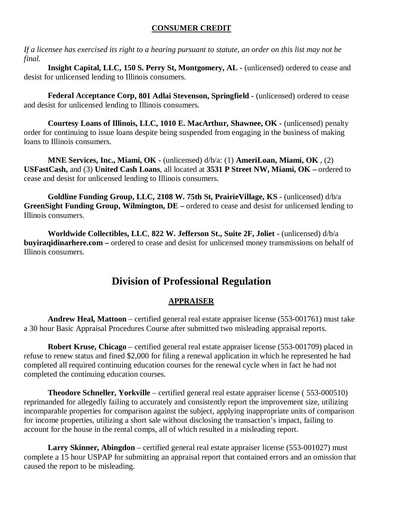#### **CONSUMER CREDIT**

*If a licensee has exercised its right to a hearing pursuant to statute, an order on this list may not be final.*

**Insight Capital, LLC, 150 S. Perry St, Montgomery, AL -** (unlicensed) ordered to cease and desist for unlicensed lending to Illinois consumers.

**Federal Acceptance Corp, 801 Adlai Stevenson, Springfield -** (unlicensed) ordered to cease and desist for unlicensed lending to Illinois consumers.

**Courtesy Loans of Illinois, LLC, 1010 E. MacArthur, Shawnee, OK -** (unlicensed) penalty order for continuing to issue loans despite being suspended from engaging in the business of making loans to Illinois consumers.

**MNE Services, Inc., Miami, OK -** (unlicensed) d/b/a: (1) **AmeriLoan, Miami, OK** , (2) **USFastCash,** and (3) **United Cash Loans**, all located at **3531 P Street NW, Miami, OK –** ordered to cease and desist for unlicensed lending to Illinois consumers.

**Goldline Funding Group, LLC, 2108 W. 75th St, PrairieVillage, KS -** (unlicensed) d/b/a **GreenSight Funding Group, Wilmington, DE –** ordered to cease and desist for unlicensed lending to Illinois consumers.

**Worldwide Collectibles, LLC**, **822 W. Jefferson St., Suite 2F, Joliet -** (unlicensed) d/b/a **buyiraqidinarhere.com –** ordered to cease and desist for unlicensed money transmissions on behalf of Illinois consumers.

## **Division of Professional Regulation**

#### **APPRAISER**

**Andrew Heal, Mattoon** – certified general real estate appraiser license (553-001761) must take a 30 hour Basic Appraisal Procedures Course after submitted two misleading appraisal reports.

**Robert Kruse, Chicago** – certified general real estate appraiser license (553-001709) placed in refuse to renew status and fined \$2,000 for filing a renewal application in which he represented he had completed all required continuing education courses for the renewal cycle when in fact he had not completed the continuing education courses.

**Theodore Schneller, Yorkville** – certified general real estate appraiser license ( 553-000510) reprimanded for allegedly failing to accurately and consistently report the improvement size, utilizing incomparable properties for comparison against the subject, applying inappropriate units of comparison for income properties, utilizing a short sale without disclosing the transaction's impact, failing to account for the house in the rental comps, all of which resulted in a misleading report.

**Larry Skinner, Abingdon** – certified general real estate appraiser license (553-001027) must complete a 15 hour USPAP for submitting an appraisal report that contained errors and an omission that caused the report to be misleading.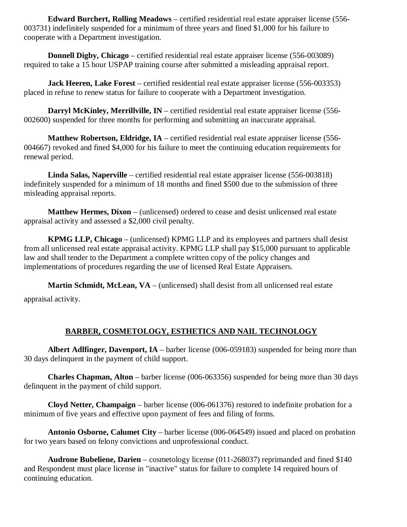**Edward Burchert, Rolling Meadows** – certified residential real estate appraiser license (556- 003731) indefinitely suspended for a minimum of three years and fined \$1,000 for his failure to cooperate with a Department investigation.

**Donnell Digby, Chicago** – certified residential real estate appraiser license (556-003089) required to take a 15 hour USPAP training course after submitted a misleading appraisal report.

**Jack Heeren, Lake Forest** – certified residential real estate appraiser license (556-003353) placed in refuse to renew status for failure to cooperate with a Department investigation.

**Darryl McKinley, Merrillyille, IN** – certified residential real estate appraiser license (556-002600) suspended for three months for performing and submitting an inaccurate appraisal.

**Matthew Robertson, Eldridge, IA** – certified residential real estate appraiser license (556- 004667) revoked and fined \$4,000 for his failure to meet the continuing education requirements for renewal period.

**Linda Salas, Naperville** – certified residential real estate appraiser license (556-003818) indefinitely suspended for a minimum of 18 months and fined \$500 due to the submission of three misleading appraisal reports.

**Matthew Hermes, Dixon** – (unlicensed) ordered to cease and desist unlicensed real estate appraisal activity and assessed a \$2,000 civil penalty.

**KPMG LLP, Chicago** – (unlicensed) KPMG LLP and its employees and partners shall desist from all unlicensed real estate appraisal activity. KPMG LLP shall pay \$15,000 pursuant to applicable law and shall tender to the Department a complete written copy of the policy changes and implementations of procedures regarding the use of licensed Real Estate Appraisers.

**Martin Schmidt, McLean, VA** – (unlicensed) shall desist from all unlicensed real estate appraisal activity.

### **BARBER, COSMETOLOGY, ESTHETICS AND NAIL TECHNOLOGY**

**Albert Adlfinger, Davenport, IA** – barber license (006-059183) suspended for being more than 30 days delinquent in the payment of child support.

**Charles Chapman, Alton** – barber license (006-063356) suspended for being more than 30 days delinquent in the payment of child support.

**Cloyd Netter, Champaign** – barber license (006-061376) restored to indefinite probation for a minimum of five years and effective upon payment of fees and filing of forms.

**Antonio Osborne, Calumet City** – barber license (006-064549) issued and placed on probation for two years based on felony convictions and unprofessional conduct.

**Audrone Bubeliene, Darien** – cosmetology license (011-268037) reprimanded and fined \$140 and Respondent must place license in "inactive" status for failure to complete 14 required hours of continuing education.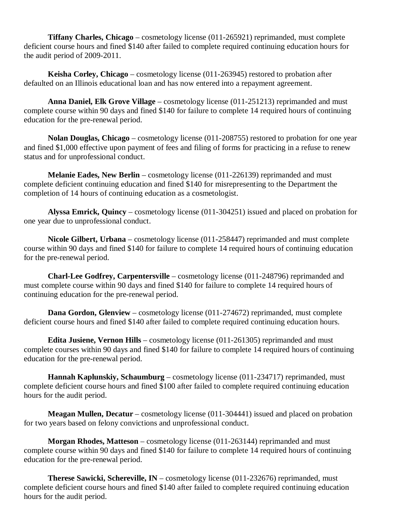**Tiffany Charles, Chicago** – cosmetology license (011-265921) reprimanded, must complete deficient course hours and fined \$140 after failed to complete required continuing education hours for the audit period of 2009-2011.

**Keisha Corley, Chicago** – cosmetology license (011-263945) restored to probation after defaulted on an Illinois educational loan and has now entered into a repayment agreement.

**Anna Daniel, Elk Grove Village** – cosmetology license (011-251213) reprimanded and must complete course within 90 days and fined \$140 for failure to complete 14 required hours of continuing education for the pre-renewal period.

**Nolan Douglas, Chicago** – cosmetology license (011-208755) restored to probation for one year and fined \$1,000 effective upon payment of fees and filing of forms for practicing in a refuse to renew status and for unprofessional conduct.

**Melanie Eades, New Berlin** – cosmetology license (011-226139) reprimanded and must complete deficient continuing education and fined \$140 for misrepresenting to the Department the completion of 14 hours of continuing education as a cosmetologist.

**Alyssa Emrick, Quincy** – cosmetology license (011-304251) issued and placed on probation for one year due to unprofessional conduct.

**Nicole Gilbert, Urbana** – cosmetology license (011-258447) reprimanded and must complete course within 90 days and fined \$140 for failure to complete 14 required hours of continuing education for the pre-renewal period.

**Charl-Lee Godfrey, Carpentersville** – cosmetology license (011-248796) reprimanded and must complete course within 90 days and fined \$140 for failure to complete 14 required hours of continuing education for the pre-renewal period.

**Dana Gordon, Glenview** – cosmetology license (011-274672) reprimanded, must complete deficient course hours and fined \$140 after failed to complete required continuing education hours.

**Edita Jusiene, Vernon Hills** – cosmetology license (011-261305) reprimanded and must complete courses within 90 days and fined \$140 for failure to complete 14 required hours of continuing education for the pre-renewal period.

**Hannah Kaplunskiy, Schaumburg** – cosmetology license (011-234717) reprimanded, must complete deficient course hours and fined \$100 after failed to complete required continuing education hours for the audit period.

**Meagan Mullen, Decatur** – cosmetology license (011-304441) issued and placed on probation for two years based on felony convictions and unprofessional conduct.

**Morgan Rhodes, Matteson** – cosmetology license (011-263144) reprimanded and must complete course within 90 days and fined \$140 for failure to complete 14 required hours of continuing education for the pre-renewal period.

**Therese Sawicki, Schereville, IN** – cosmetology license (011-232676) reprimanded, must complete deficient course hours and fined \$140 after failed to complete required continuing education hours for the audit period.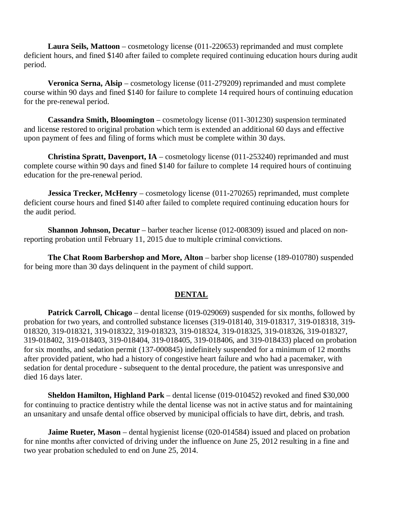**Laura Seils, Mattoon** – cosmetology license (011-220653) reprimanded and must complete deficient hours, and fined \$140 after failed to complete required continuing education hours during audit period.

**Veronica Serna, Alsip** – cosmetology license (011-279209) reprimanded and must complete course within 90 days and fined \$140 for failure to complete 14 required hours of continuing education for the pre-renewal period.

**Cassandra Smith, Bloomington** – cosmetology license (011-301230) suspension terminated and license restored to original probation which term is extended an additional 60 days and effective upon payment of fees and filing of forms which must be complete within 30 days.

**Christina Spratt, Davenport, IA** – cosmetology license (011-253240) reprimanded and must complete course within 90 days and fined \$140 for failure to complete 14 required hours of continuing education for the pre-renewal period.

**Jessica Trecker, McHenry** – cosmetology license (011-270265) reprimanded, must complete deficient course hours and fined \$140 after failed to complete required continuing education hours for the audit period.

**Shannon Johnson, Decatur** – barber teacher license (012-008309) issued and placed on nonreporting probation until February 11, 2015 due to multiple criminal convictions.

**The Chat Room Barbershop and More, Alton** – barber shop license (189-010780) suspended for being more than 30 days delinquent in the payment of child support.

#### **DENTAL**

**Patrick Carroll, Chicago** – dental license (019-029069) suspended for six months, followed by probation for two years, and controlled substance licenses (319-018140, 319-018317, 319-018318, 319- 018320, 319-018321, 319-018322, 319-018323, 319-018324, 319-018325, 319-018326, 319-018327, 319-018402, 319-018403, 319-018404, 319-018405, 319-018406, and 319-018433) placed on probation for six months, and sedation permit (137-000845) indefinitely suspended for a minimum of 12 months after provided patient, who had a history of congestive heart failure and who had a pacemaker, with sedation for dental procedure - subsequent to the dental procedure, the patient was unresponsive and died 16 days later.

**Sheldon Hamilton, Highland Park** – dental license (019-010452) revoked and fined \$30,000 for continuing to practice dentistry while the dental license was not in active status and for maintaining an unsanitary and unsafe dental office observed by municipal officials to have dirt, debris, and trash.

**Jaime Rueter, Mason** – dental hygienist license (020-014584) issued and placed on probation for nine months after convicted of driving under the influence on June 25, 2012 resulting in a fine and two year probation scheduled to end on June 25, 2014.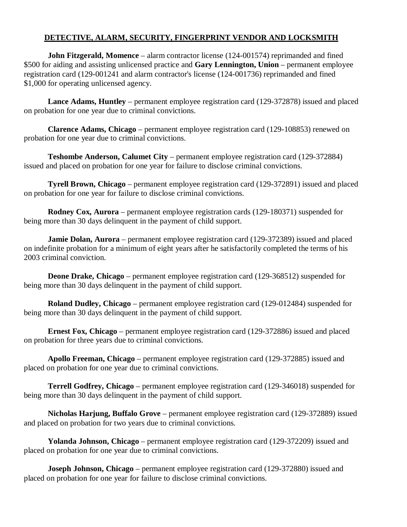#### **DETECTIVE, ALARM, SECURITY, FINGERPRINT VENDOR AND LOCKSMITH**

**John Fitzgerald, Momence** – alarm contractor license (124-001574) reprimanded and fined \$500 for aiding and assisting unlicensed practice and **Gary Lennington, Union** – permanent employee registration card (129-001241 and alarm contractor's license (124-001736) reprimanded and fined \$1,000 for operating unlicensed agency.

**Lance Adams, Huntley** – permanent employee registration card (129-372878) issued and placed on probation for one year due to criminal convictions.

**Clarence Adams, Chicago** – permanent employee registration card (129-108853) renewed on probation for one year due to criminal convictions.

**Teshombe Anderson, Calumet City** – permanent employee registration card (129-372884) issued and placed on probation for one year for failure to disclose criminal convictions.

**Tyrell Brown, Chicago** – permanent employee registration card (129-372891) issued and placed on probation for one year for failure to disclose criminal convictions.

**Rodney Cox, Aurora** – permanent employee registration cards (129-180371) suspended for being more than 30 days delinquent in the payment of child support.

**Jamie Dolan, Aurora** – permanent employee registration card (129-372389) issued and placed on indefinite probation for a minimum of eight years after he satisfactorily completed the terms of his 2003 criminal conviction.

**Deone Drake, Chicago** – permanent employee registration card (129-368512) suspended for being more than 30 days delinquent in the payment of child support.

**Roland Dudley, Chicago** – permanent employee registration card (129-012484) suspended for being more than 30 days delinquent in the payment of child support.

**Ernest Fox, Chicago** – permanent employee registration card (129-372886) issued and placed on probation for three years due to criminal convictions.

**Apollo Freeman, Chicago** – permanent employee registration card (129-372885) issued and placed on probation for one year due to criminal convictions.

**Terrell Godfrey, Chicago** – permanent employee registration card (129-346018) suspended for being more than 30 days delinquent in the payment of child support.

**Nicholas Harjung, Buffalo Grove** – permanent employee registration card (129-372889) issued and placed on probation for two years due to criminal convictions.

**Yolanda Johnson, Chicago** – permanent employee registration card (129-372209) issued and placed on probation for one year due to criminal convictions.

**Joseph Johnson, Chicago** – permanent employee registration card (129-372880) issued and placed on probation for one year for failure to disclose criminal convictions.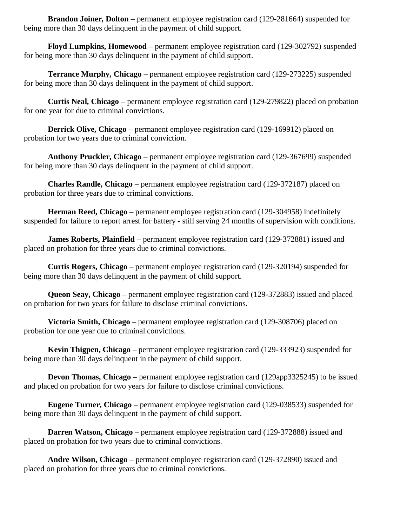**Brandon Joiner, Dolton** – permanent employee registration card (129-281664) suspended for being more than 30 days delinquent in the payment of child support.

**Floyd Lumpkins, Homewood** – permanent employee registration card (129-302792) suspended for being more than 30 days delinquent in the payment of child support.

**Terrance Murphy, Chicago** – permanent employee registration card (129-273225) suspended for being more than 30 days delinquent in the payment of child support.

**Curtis Neal, Chicago** – permanent employee registration card (129-279822) placed on probation for one year for due to criminal convictions.

**Derrick Olive, Chicago** – permanent employee registration card (129-169912) placed on probation for two years due to criminal conviction.

**Anthony Pruckler, Chicago** – permanent employee registration card (129-367699) suspended for being more than 30 days delinquent in the payment of child support.

**Charles Randle, Chicago** – permanent employee registration card (129-372187) placed on probation for three years due to criminal convictions.

**Herman Reed, Chicago** – permanent employee registration card (129-304958) indefinitely suspended for failure to report arrest for battery - still serving 24 months of supervision with conditions.

**James Roberts, Plainfield** – permanent employee registration card (129-372881) issued and placed on probation for three years due to criminal convictions.

**Curtis Rogers, Chicago** – permanent employee registration card (129-320194) suspended for being more than 30 days delinquent in the payment of child support.

**Queon Seay, Chicago** – permanent employee registration card (129-372883) issued and placed on probation for two years for failure to disclose criminal convictions.

**Victoria Smith, Chicago** – permanent employee registration card (129-308706) placed on probation for one year due to criminal convictions.

**Kevin Thigpen, Chicago** – permanent employee registration card (129-333923) suspended for being more than 30 days delinquent in the payment of child support.

**Devon Thomas, Chicago** – permanent employee registration card (129app3325245) to be issued and placed on probation for two years for failure to disclose criminal convictions.

**Eugene Turner, Chicago** – permanent employee registration card (129-038533) suspended for being more than 30 days delinquent in the payment of child support.

**Darren Watson, Chicago** – permanent employee registration card (129-372888) issued and placed on probation for two years due to criminal convictions.

**Andre Wilson, Chicago** – permanent employee registration card (129-372890) issued and placed on probation for three years due to criminal convictions.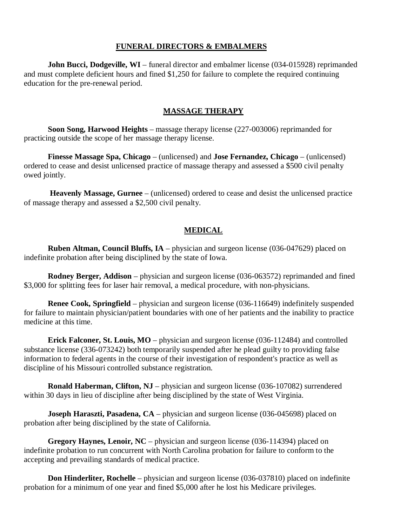#### **FUNERAL DIRECTORS & EMBALMERS**

**John Bucci, Dodgeville, WI** – funeral director and embalmer license (034-015928) reprimanded and must complete deficient hours and fined \$1,250 for failure to complete the required continuing education for the pre-renewal period.

#### **MASSAGE THERAPY**

**Soon Song, Harwood Heights** – massage therapy license (227-003006) reprimanded for practicing outside the scope of her massage therapy license.

**Finesse Massage Spa, Chicago** – (unlicensed) and **Jose Fernandez, Chicago** – (unlicensed) ordered to cease and desist unlicensed practice of massage therapy and assessed a \$500 civil penalty owed jointly.

**Heavenly Massage, Gurnee** – (unlicensed) ordered to cease and desist the unlicensed practice of massage therapy and assessed a \$2,500 civil penalty.

#### **MEDICAL**

**Ruben Altman, Council Bluffs, IA** – physician and surgeon license (036-047629) placed on indefinite probation after being disciplined by the state of Iowa.

**Rodney Berger, Addison** – physician and surgeon license (036-063572) reprimanded and fined \$3,000 for splitting fees for laser hair removal, a medical procedure, with non-physicians.

**Renee Cook, Springfield** – physician and surgeon license (036-116649) indefinitely suspended for failure to maintain physician/patient boundaries with one of her patients and the inability to practice medicine at this time.

**Erick Falconer, St. Louis, MO** – physician and surgeon license (036-112484) and controlled substance license (336-073242) both temporarily suspended after he plead guilty to providing false information to federal agents in the course of their investigation of respondent's practice as well as discipline of his Missouri controlled substance registration.

**Ronald Haberman, Clifton, NJ** – physician and surgeon license (036-107082) surrendered within 30 days in lieu of discipline after being disciplined by the state of West Virginia.

**Joseph Haraszti, Pasadena, CA** – physician and surgeon license (036-045698) placed on probation after being disciplined by the state of California.

**Gregory Haynes, Lenoir, NC** – physician and surgeon license (036-114394) placed on indefinite probation to run concurrent with North Carolina probation for failure to conform to the accepting and prevailing standards of medical practice.

**Don Hinderliter, Rochelle** – physician and surgeon license (036-037810) placed on indefinite probation for a minimum of one year and fined \$5,000 after he lost his Medicare privileges.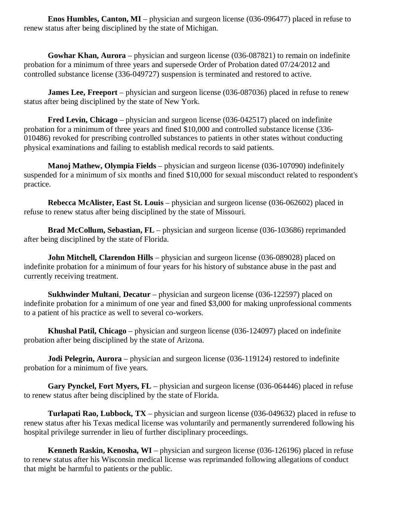**Enos Humbles, Canton, MI** – physician and surgeon license (036-096477) placed in refuse to renew status after being disciplined by the state of Michigan.

**Gowhar Khan, Aurora** – physician and surgeon license (036-087821) to remain on indefinite probation for a minimum of three years and supersede Order of Probation dated 07/24/2012 and controlled substance license (336-049727) suspension is terminated and restored to active.

**James Lee, Freeport** – physician and surgeon license (036-087036) placed in refuse to renew status after being disciplined by the state of New York.

**Fred Levin, Chicago** – physician and surgeon license (036-042517) placed on indefinite probation for a minimum of three years and fined \$10,000 and controlled substance license (336- 010486) revoked for prescribing controlled substances to patients in other states without conducting physical examinations and failing to establish medical records to said patients.

**Manoj Mathew, Olympia Fields** – physician and surgeon license (036-107090) indefinitely suspended for a minimum of six months and fined \$10,000 for sexual misconduct related to respondent's practice.

**Rebecca McAlister, East St. Louis** – physician and surgeon license (036-062602) placed in refuse to renew status after being disciplined by the state of Missouri.

**Brad McCollum, Sebastian, FL** – physician and surgeon license (036-103686) reprimanded after being disciplined by the state of Florida.

**John Mitchell, Clarendon Hills** – physician and surgeon license (036-089028) placed on indefinite probation for a minimum of four years for his history of substance abuse in the past and currently receiving treatment.

**Sukhwinder Multani**, **Decatur** – physician and surgeon license (036-122597) placed on indefinite probation for a minimum of one year and fined \$3,000 for making unprofessional comments to a patient of his practice as well to several co-workers.

**Khushal Patil, Chicago** – physician and surgeon license (036-124097) placed on indefinite probation after being disciplined by the state of Arizona.

**Jodi Pelegrin, Aurora** – physician and surgeon license (036-119124) restored to indefinite probation for a minimum of five years.

**Gary Pynckel, Fort Myers, FL** – physician and surgeon license (036-064446) placed in refuse to renew status after being disciplined by the state of Florida.

**Turlapati Rao, Lubbock, TX** – physician and surgeon license (036-049632) placed in refuse to renew status after his Texas medical license was voluntarily and permanently surrendered following his hospital privilege surrender in lieu of further disciplinary proceedings.

**Kenneth Raskin, Kenosha, WI** – physician and surgeon license (036-126196) placed in refuse to renew status after his Wisconsin medical license was reprimanded following allegations of conduct that might be harmful to patients or the public.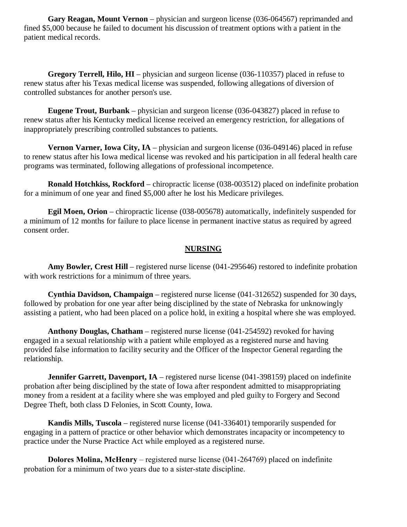**Gary Reagan, Mount Vernon** – physician and surgeon license (036-064567) reprimanded and fined \$5,000 because he failed to document his discussion of treatment options with a patient in the patient medical records.

**Gregory Terrell, Hilo, HI** – physician and surgeon license (036-110357) placed in refuse to renew status after his Texas medical license was suspended, following allegations of diversion of controlled substances for another person's use.

**Eugene Trout, Burbank** – physician and surgeon license (036-043827) placed in refuse to renew status after his Kentucky medical license received an emergency restriction, for allegations of inappropriately prescribing controlled substances to patients.

**Vernon Varner, Iowa City, IA** – physician and surgeon license (036-049146) placed in refuse to renew status after his Iowa medical license was revoked and his participation in all federal health care programs was terminated, following allegations of professional incompetence.

**Ronald Hotchkiss, Rockford** – chiropractic license (038-003512) placed on indefinite probation for a minimum of one year and fined \$5,000 after he lost his Medicare privileges.

**Egil Moen, Orion** – chiropractic license (038-005678) automatically, indefinitely suspended for a minimum of 12 months for failure to place license in permanent inactive status as required by agreed consent order.

#### **NURSING**

**Amy Bowler, Crest Hill** – registered nurse license (041-295646) restored to indefinite probation with work restrictions for a minimum of three years.

**Cynthia Davidson, Champaign** – registered nurse license (041-312652) suspended for 30 days, followed by probation for one year after being disciplined by the state of Nebraska for unknowingly assisting a patient, who had been placed on a police hold, in exiting a hospital where she was employed.

**Anthony Douglas, Chatham** – registered nurse license (041-254592) revoked for having engaged in a sexual relationship with a patient while employed as a registered nurse and having provided false information to facility security and the Officer of the Inspector General regarding the relationship.

**Jennifer Garrett, Davenport, IA** – registered nurse license (041-398159) placed on indefinite probation after being disciplined by the state of Iowa after respondent admitted to misappropriating money from a resident at a facility where she was employed and pled guilty to Forgery and Second Degree Theft, both class D Felonies, in Scott County, Iowa.

**Kandis Mills, Tuscola** – registered nurse license (041-336401) temporarily suspended for engaging in a pattern of practice or other behavior which demonstrates incapacity or incompetency to practice under the Nurse Practice Act while employed as a registered nurse.

**Dolores Molina, McHenry** – registered nurse license (041-264769) placed on indefinite probation for a minimum of two years due to a sister-state discipline.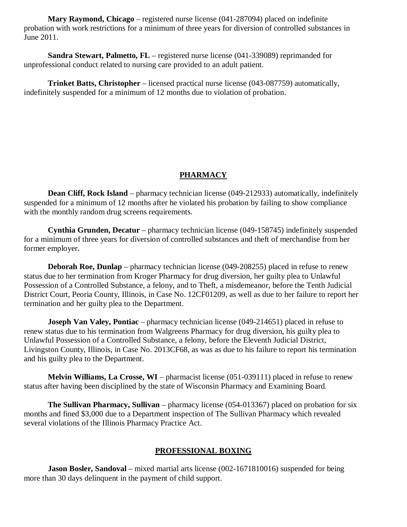**Mary Raymond, Chicago** – registered nurse license (041-287094) placed on indefinite probation with work restrictions for a minimum of three years for diversion of controlled substances in June 2011.

**Sandra Stewart, Palmetto, FL** – registered nurse license (041-339089) reprimanded for unprofessional conduct related to nursing care provided to an adult patient.

**Trinket Batts, Christopher** – licensed practical nurse license (043-087759) automatically, indefinitely suspended for a minimum of 12 months due to violation of probation.

#### **PHARMACY**

**Dean Cliff, Rock Island** – pharmacy technician license (049-212933) automatically, indefinitely suspended for a minimum of 12 months after he violated his probation by failing to show compliance with the monthly random drug screens requirements.

**Cynthia Grunden, Decatur** – pharmacy technician license (049-158745) indefinitely suspended for a minimum of three years for diversion of controlled substances and theft of merchandise from her former employer.

**Deborah Roe, Dunlap** – pharmacy technician license (049-208255) placed in refuse to renew status due to her termination from Kroger Pharmacy for drug diversion, her guilty plea to Unlawful Possession of a Controlled Substance, a felony, and to Theft, a misdemeanor, before the Tenth Judicial District Court, Peoria County, Illinois, in Case No. 12CF01209, as well as due to her failure to report her termination and her guilty plea to the Department.

**Joseph Van Valey, Pontiac** – pharmacy technician license (049-214651) placed in refuse to renew status due to his termination from Walgreens Pharmacy for drug diversion, his guilty plea to Unlawful Possession of a Controlled Substance, a felony, before the Eleventh Judicial District, Livingston County, Illinois, in Case No. 2013CF68, as was as due to his failure to report his termination and his guilty plea to the Department.

**Melvin Williams, La Crosse, WI** – pharmacist license (051-039111) placed in refuse to renew status after having been disciplined by the state of Wisconsin Pharmacy and Examining Board.

**The Sullivan Pharmacy, Sullivan** – pharmacy license (054-013367) placed on probation for six months and fined \$3,000 due to a Department inspection of The Sullivan Pharmacy which revealed several violations of the Illinois Pharmacy Practice Act.

#### **PROFESSIONAL BOXING**

**Jason Bosler, Sandoval** – mixed martial arts license (002-1671810016) suspended for being more than 30 days delinquent in the payment of child support.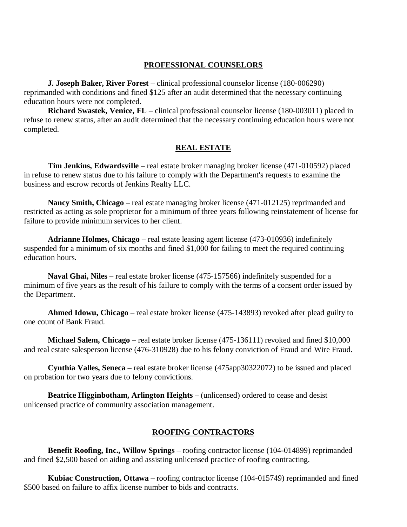#### **PROFESSIONAL COUNSELORS**

**J. Joseph Baker, River Forest** – clinical professional counselor license (180-006290) reprimanded with conditions and fined \$125 after an audit determined that the necessary continuing education hours were not completed.

**Richard Swastek, Venice, FL** – clinical professional counselor license (180-003011) placed in refuse to renew status, after an audit determined that the necessary continuing education hours were not completed.

#### **REAL ESTATE**

**Tim Jenkins, Edwardsville** – real estate broker managing broker license (471-010592) placed in refuse to renew status due to his failure to comply with the Department's requests to examine the business and escrow records of Jenkins Realty LLC.

**Nancy Smith, Chicago** – real estate managing broker license (471-012125) reprimanded and restricted as acting as sole proprietor for a minimum of three years following reinstatement of license for failure to provide minimum services to her client.

**Adrianne Holmes, Chicago** – real estate leasing agent license (473-010936) indefinitely suspended for a minimum of six months and fined \$1,000 for failing to meet the required continuing education hours.

**Naval Ghai, Niles** – real estate broker license (475-157566) indefinitely suspended for a minimum of five years as the result of his failure to comply with the terms of a consent order issued by the Department.

**Ahmed Idowu, Chicago** – real estate broker license (475-143893) revoked after plead guilty to one count of Bank Fraud.

**Michael Salem, Chicago** – real estate broker license (475-136111) revoked and fined \$10,000 and real estate salesperson license (476-310928) due to his felony conviction of Fraud and Wire Fraud.

**Cynthia Valles, Seneca** – real estate broker license (475app30322072) to be issued and placed on probation for two years due to felony convictions.

**Beatrice Higginbotham, Arlington Heights** – (unlicensed) ordered to cease and desist unlicensed practice of community association management.

#### **ROOFING CONTRACTORS**

**Benefit Roofing, Inc., Willow Springs** – roofing contractor license (104-014899) reprimanded and fined \$2,500 based on aiding and assisting unlicensed practice of roofing contracting.

**Kubiac Construction, Ottawa** – roofing contractor license (104-015749) reprimanded and fined \$500 based on failure to affix license number to bids and contracts.